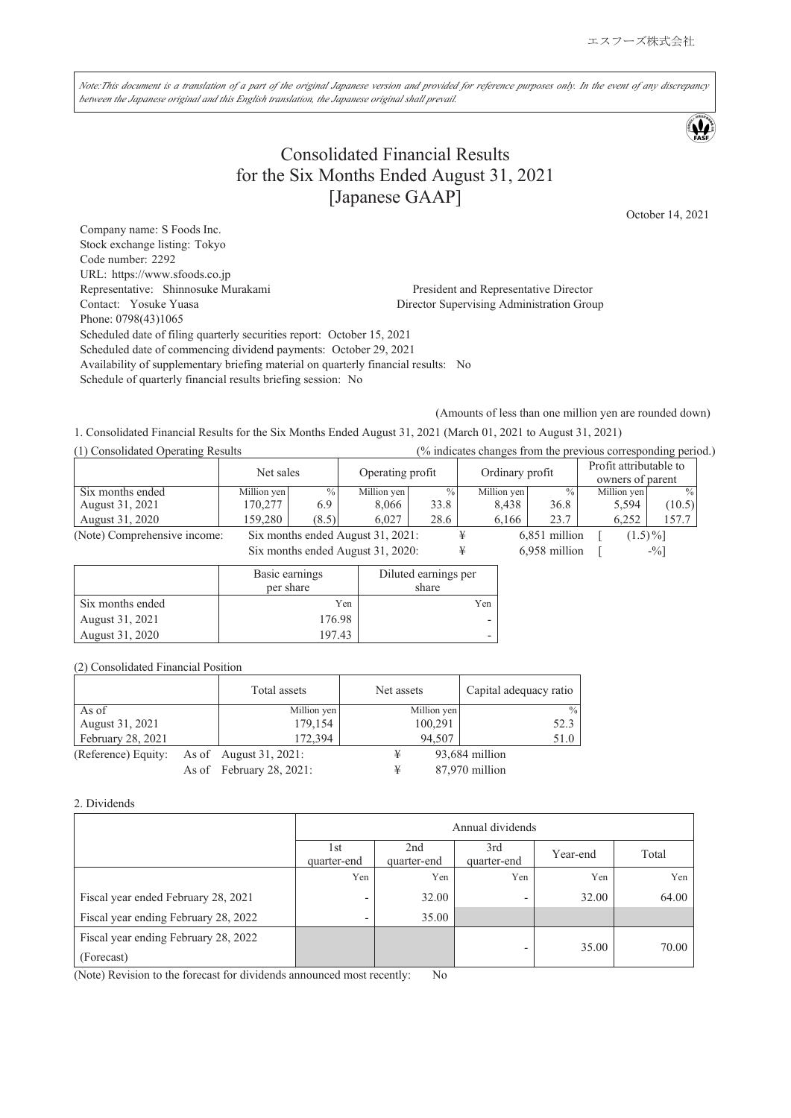Note:This document is a translation of a part of the original Japanese version and provided for reference purposes only. In the event of any discrepancy *between the Japanese original and this English translation, the Japanese original shall prevail.*

# Consolidated Financial Results for the Six Months Ended August 31, 2021 [Japanese GAAP]

October 14, 2021

Company name: S Foods Inc. Stock exchange listing: Tokyo Code number: 2292 URL: https://www.sfoods.co.jp Representative: Shinnosuke Murakami President and Representative Director Contact: Yosuke Yuasa Director Supervising Administration Group Phone: 0798(43)1065 Scheduled date of filing quarterly securities report: October 15, 2021 Scheduled date of commencing dividend payments: October 29, 2021 Availability of supplementary briefing material on quarterly financial results: No Schedule of quarterly financial results briefing session: No

(Amounts of less than one million yen are rounded down)

1. Consolidated Financial Results for the Six Months Ended August 31, 2021 (March 01, 2021 to August 31, 2021)

| (1) Consolidated Operating Results |             |               | (% indicates changes from the previous corresponding period.) |      |             |               |                  |               |                 |  |                        |  |  |
|------------------------------------|-------------|---------------|---------------------------------------------------------------|------|-------------|---------------|------------------|---------------|-----------------|--|------------------------|--|--|
|                                    | Net sales   |               |                                                               |      |             |               | Operating profit |               | Ordinary profit |  | Profit attributable to |  |  |
|                                    |             |               |                                                               |      |             |               | owners of parent |               |                 |  |                        |  |  |
| Six months ended                   | Million yen | $\frac{0}{0}$ | Million yen                                                   | $\%$ | Million yen | $\%$          | Million yen      | $\frac{0}{0}$ |                 |  |                        |  |  |
| August 31, 2021                    | 170,277     | 6.9           | 8.066                                                         | 33.8 | 8.438       | 36.8          | 5,594            | (10.5)        |                 |  |                        |  |  |
| August 31, 2020                    | 159,280     | (8.5)         | 6.027                                                         | 28.6 | 6.166       | 23.7          | 6.252            | 157.7         |                 |  |                        |  |  |
| (Note) Comprehensive income:       |             |               | Six months ended August 31, 2021:                             |      |             | 6,851 million | $(1.5)\%$        |               |                 |  |                        |  |  |

Six months ended August 31, 2020:  $\qquad \qquad \text{#} \qquad \qquad 6,958 \text{ million} \quad [ \qquad \qquad -\frac{9}{9}]$ 

|                  | Basic earnings<br>per share | Diluted earnings per<br>share |
|------------------|-----------------------------|-------------------------------|
| Six months ended | Yen                         | Yen                           |
| August 31, 2021  | 176.98                      |                               |
| August 31, 2020  | 197.43                      |                               |

| (2) Consolidated Financial Position |  |
|-------------------------------------|--|
|-------------------------------------|--|

|                     | Total assets             | Net assets  | Capital adequacy ratio |
|---------------------|--------------------------|-------------|------------------------|
| As of               | Million yen              | Million yen | $\frac{0}{0}$          |
| August 31, 2021     | 179,154                  | 100,291     | 52.3                   |
| February 28, 2021   | 172,394                  | 94.507      | 51.0                   |
| (Reference) Equity: | As of August 31, 2021:   | ¥           | 93,684 million         |
|                     | As of February 28, 2021: | ¥           | 87,970 million         |

#### 2. Dividends

|                                                    |                          | Annual dividends   |                          |          |       |  |  |
|----------------------------------------------------|--------------------------|--------------------|--------------------------|----------|-------|--|--|
|                                                    | 1st<br>quarter-end       | 2nd<br>quarter-end | 3rd<br>quarter-end       | Year-end | Total |  |  |
|                                                    | Yen                      | Yen                | Yen                      | Yen      | Yen   |  |  |
| Fiscal year ended February 28, 2021                | $\overline{\phantom{0}}$ | 32.00              | ٠                        | 32.00    | 64.00 |  |  |
| Fiscal year ending February 28, 2022               | $\overline{\phantom{0}}$ | 35.00              |                          |          |       |  |  |
| Fiscal year ending February 28, 2022<br>(Forecast) |                          |                    | $\overline{\phantom{0}}$ | 35.00    | 70.00 |  |  |

(Note) Revision to the forecast for dividends announced most recently: No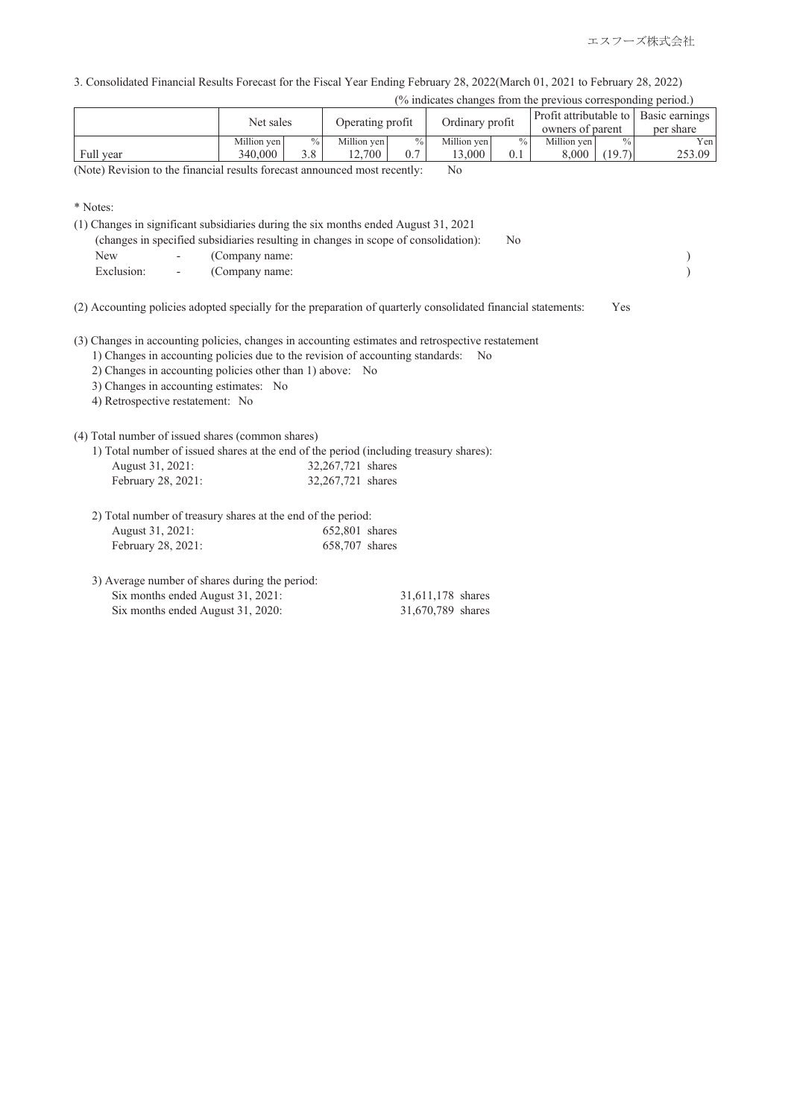3. Consolidated Financial Results Forecast for the Fiscal Year Ending February 28, 2022(March 01, 2021 to February 28, 2022)

|  |  |  | (% indicates changes from the previous corresponding period.) |  |
|--|--|--|---------------------------------------------------------------|--|
|  |  |  |                                                               |  |

|           | Net sales   |               | Operating profit |      | Ordinary profit |      | Profit attributable to<br>owners of parent |               | Basic earnings<br>per share |
|-----------|-------------|---------------|------------------|------|-----------------|------|--------------------------------------------|---------------|-----------------------------|
|           | Million ven | $\frac{0}{0}$ | Million ven      | $\%$ | Million ven     | $\%$ | Million ven                                | $\frac{0}{0}$ | Yen                         |
| Full year | 340,000     | 3.8           | 2.700            |      | 3.000           | 0.1  | 8.000                                      | (19.7)        | 253.09                      |

(Note) Revision to the financial results forecast announced most recently: No

<sup>\*</sup> Notes:

|            |                          | (changes in specified subsidiaries resulting in changes in scope of consolidation):<br>N <sub>0</sub>         |     |  |
|------------|--------------------------|---------------------------------------------------------------------------------------------------------------|-----|--|
| New        | -                        | (Company name:                                                                                                |     |  |
| Exclusion: | $\overline{\phantom{a}}$ | (Company name:                                                                                                |     |  |
|            |                          |                                                                                                               |     |  |
|            |                          | (2) Accounting policies adopted specially for the preparation of quarterly consolidated financial statements: | Yes |  |

(3) Changes in accounting policies, changes in accounting estimates and retrospective restatement

- 1) Changes in accounting policies due to the revision of accounting standards: No
- 2) Changes in accounting policies other than 1) above: No

3) Changes in accounting estimates: No

4) Retrospective restatement: No

(4) Total number of issued shares (common shares)

|                  | 1) Total number of issued shares at the end of the period (including treasury shares): |  |
|------------------|----------------------------------------------------------------------------------------|--|
| August 31, 2021: | 32,267,721 shares                                                                      |  |

| August 31, 2021:   | $32,20/7/21$ shares |  |
|--------------------|---------------------|--|
| February 28, 2021: | 32,267,721 shares   |  |

| 2) Total number of treasury shares at the end of the period: |                |
|--------------------------------------------------------------|----------------|
| August 31, 2021:                                             | 652,801 shares |
| February 28, 2021:                                           | 658,707 shares |

| 3) Average number of shares during the period: |                   |  |
|------------------------------------------------|-------------------|--|
| Six months ended August 31, 2021:              | 31,611,178 shares |  |
| Six months ended August 31, 2020:              | 31,670,789 shares |  |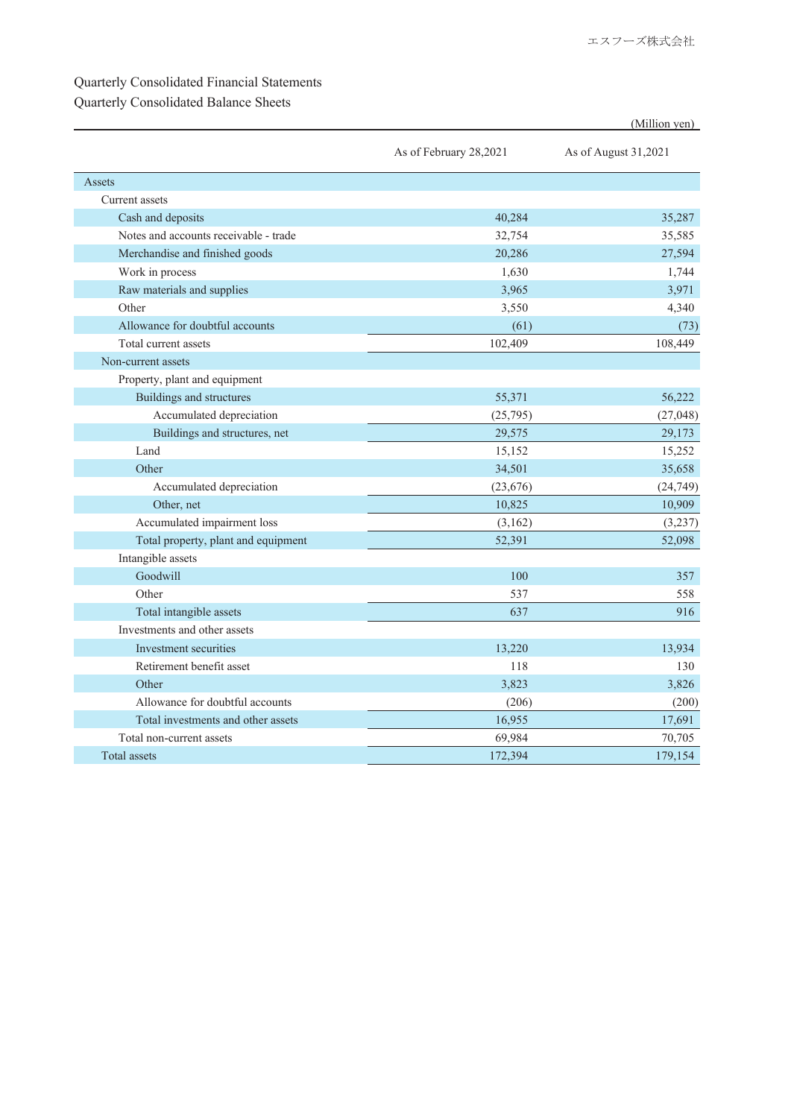## Quarterly Consolidated Financial Statements

## Quarterly Consolidated Balance Sheets

|                                       |                        | (Million yen)        |
|---------------------------------------|------------------------|----------------------|
|                                       | As of February 28,2021 | As of August 31,2021 |
| Assets                                |                        |                      |
| Current assets                        |                        |                      |
| Cash and deposits                     | 40,284                 | 35,287               |
| Notes and accounts receivable - trade | 32,754                 | 35,585               |
| Merchandise and finished goods        | 20,286                 | 27,594               |
| Work in process                       | 1,630                  | 1,744                |
| Raw materials and supplies            | 3,965                  | 3,971                |
| Other                                 | 3,550                  | 4,340                |
| Allowance for doubtful accounts       | (61)                   | (73)                 |
| Total current assets                  | 102,409                | 108,449              |
| Non-current assets                    |                        |                      |
| Property, plant and equipment         |                        |                      |
| Buildings and structures              | 55,371                 | 56,222               |
| Accumulated depreciation              | (25,795)               | (27, 048)            |
| Buildings and structures, net         | 29,575                 | 29,173               |
| Land                                  | 15,152                 | 15,252               |
| Other                                 | 34,501                 | 35,658               |
| Accumulated depreciation              | (23, 676)              | (24, 749)            |
| Other, net                            | 10,825                 | 10,909               |
| Accumulated impairment loss           | (3,162)                | (3,237)              |
| Total property, plant and equipment   | 52,391                 | 52,098               |
| Intangible assets                     |                        |                      |
| Goodwill                              | 100                    | 357                  |
| Other                                 | 537                    | 558                  |
| Total intangible assets               | 637                    | 916                  |
| Investments and other assets          |                        |                      |
| Investment securities                 | 13.220                 | 13.934               |
| Retirement benefit asset              | 118                    | 130                  |
| Other                                 | 3,823                  | 3,826                |
| Allowance for doubtful accounts       | (206)                  | (200)                |
| Total investments and other assets    | 16,955                 | 17,691               |
| Total non-current assets              | 69,984                 | 70,705               |
| Total assets                          | 172,394                | 179,154              |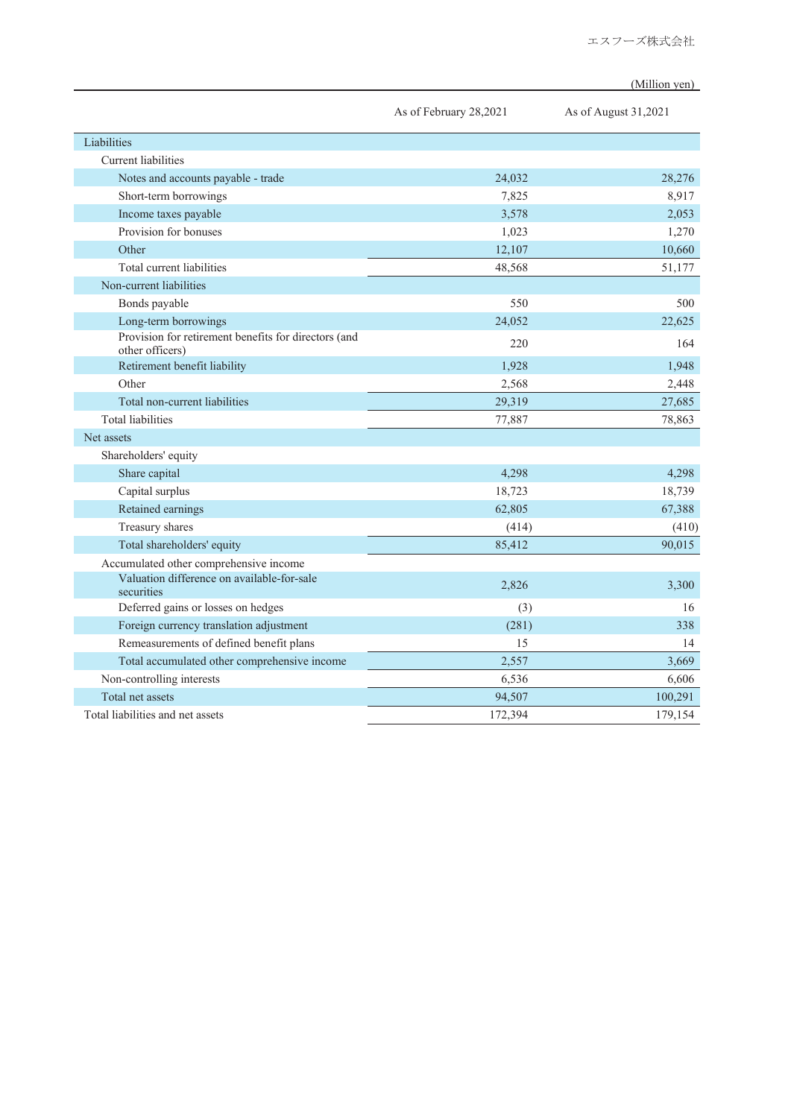(Million yen)

|                                                                         | As of February 28,2021 | As of August 31,2021 |
|-------------------------------------------------------------------------|------------------------|----------------------|
| Liabilities                                                             |                        |                      |
| Current liabilities                                                     |                        |                      |
| Notes and accounts payable - trade                                      | 24,032                 | 28,276               |
| Short-term borrowings                                                   | 7,825                  | 8,917                |
| Income taxes payable                                                    | 3,578                  | 2,053                |
| Provision for bonuses                                                   | 1,023                  | 1,270                |
| Other                                                                   | 12,107                 | 10,660               |
| Total current liabilities                                               | 48,568                 | 51,177               |
| Non-current liabilities                                                 |                        |                      |
| Bonds payable                                                           | 550                    | 500                  |
| Long-term borrowings                                                    | 24,052                 | 22,625               |
| Provision for retirement benefits for directors (and<br>other officers) | 220                    | 164                  |
| Retirement benefit liability                                            | 1,928                  | 1,948                |
| Other                                                                   | 2,568                  | 2,448                |
| Total non-current liabilities                                           | 29,319                 | 27,685               |
| <b>Total liabilities</b>                                                | 77,887                 | 78,863               |
| Net assets                                                              |                        |                      |
| Shareholders' equity                                                    |                        |                      |
| Share capital                                                           | 4,298                  | 4,298                |
| Capital surplus                                                         | 18,723                 | 18,739               |
| Retained earnings                                                       | 62,805                 | 67,388               |
| Treasury shares                                                         | (414)                  | (410)                |
| Total shareholders' equity                                              | 85,412                 | 90,015               |
| Accumulated other comprehensive income                                  |                        |                      |
| Valuation difference on available-for-sale<br>securities                | 2,826                  | 3,300                |
| Deferred gains or losses on hedges                                      | (3)                    | 16                   |
| Foreign currency translation adjustment                                 | (281)                  | 338                  |
| Remeasurements of defined benefit plans                                 | 15                     | 14                   |
| Total accumulated other comprehensive income                            | 2,557                  | 3,669                |
| Non-controlling interests                                               | 6,536                  | 6,606                |
| Total net assets                                                        | 94,507                 | 100,291              |
| Total liabilities and net assets                                        | 172,394                | 179,154              |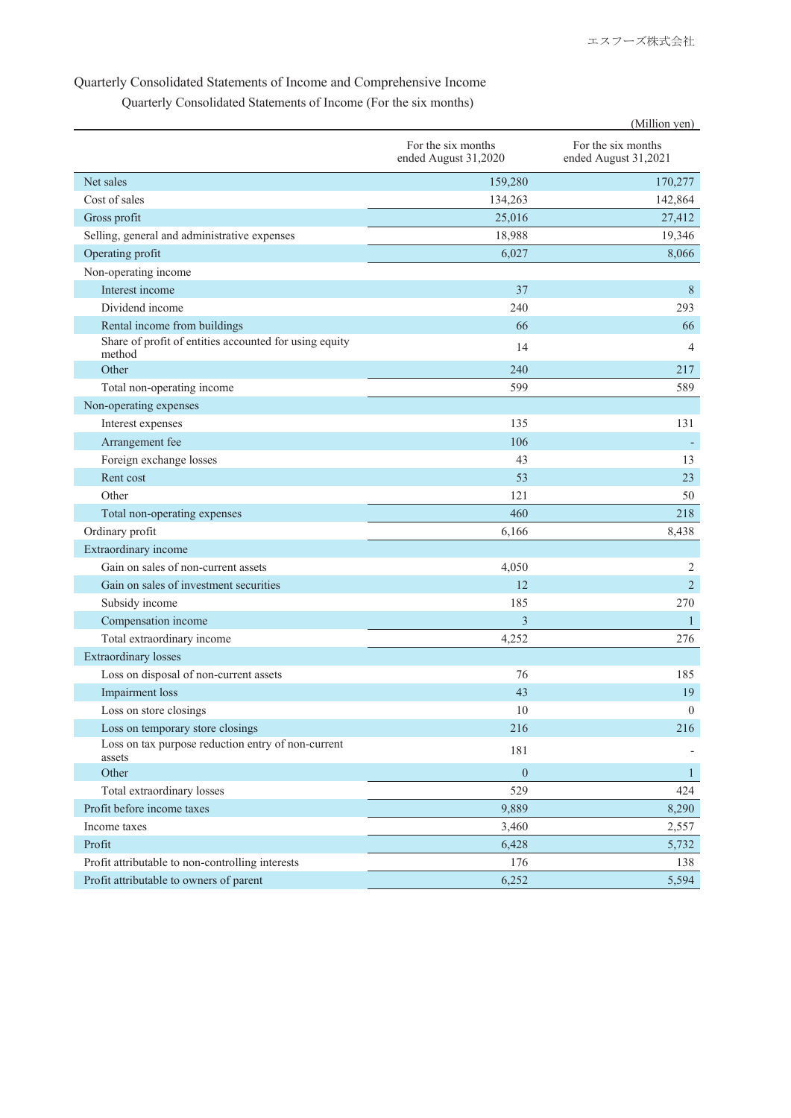#### Quarterly Consolidated Statements of Income and Comprehensive Income

Quarterly Consolidated Statements of Income (For the six months)

|                                                                  |                                            | (Million yen)                              |
|------------------------------------------------------------------|--------------------------------------------|--------------------------------------------|
|                                                                  | For the six months<br>ended August 31,2020 | For the six months<br>ended August 31,2021 |
| Net sales                                                        | 159,280                                    | 170,277                                    |
| Cost of sales                                                    | 134,263                                    | 142,864                                    |
| Gross profit                                                     | 25,016                                     | 27,412                                     |
| Selling, general and administrative expenses                     | 18,988                                     | 19,346                                     |
| Operating profit                                                 | 6,027                                      | 8,066                                      |
| Non-operating income                                             |                                            |                                            |
| Interest income                                                  | 37                                         | $8\,$                                      |
| Dividend income                                                  | 240                                        | 293                                        |
| Rental income from buildings                                     | 66                                         | 66                                         |
| Share of profit of entities accounted for using equity<br>method | 14                                         | 4                                          |
| Other                                                            | 240                                        | 217                                        |
| Total non-operating income                                       | 599                                        | 589                                        |
| Non-operating expenses                                           |                                            |                                            |
| Interest expenses                                                | 135                                        | 131                                        |
| Arrangement fee                                                  | 106                                        |                                            |
| Foreign exchange losses                                          | 43                                         | 13                                         |
| Rent cost                                                        | 53                                         | 23                                         |
| Other                                                            | 121                                        | 50                                         |
| Total non-operating expenses                                     | 460                                        | 218                                        |
| Ordinary profit                                                  | 6,166                                      | 8,438                                      |
| Extraordinary income                                             |                                            |                                            |
| Gain on sales of non-current assets                              | 4,050                                      | 2                                          |
| Gain on sales of investment securities                           | 12                                         | $\overline{2}$                             |
| Subsidy income                                                   | 185                                        | 270                                        |
| Compensation income                                              | $\overline{3}$                             | $\mathbf{1}$                               |
| Total extraordinary income                                       | 4,252                                      | 276                                        |
| <b>Extraordinary losses</b>                                      |                                            |                                            |
| Loss on disposal of non-current assets                           | 76                                         | 185                                        |
| <b>Impairment</b> loss                                           | 43                                         | 19                                         |
| Loss on store closings                                           | 10                                         | $\boldsymbol{0}$                           |
| Loss on temporary store closings                                 | 216                                        | 216                                        |
| Loss on tax purpose reduction entry of non-current<br>assets     | 181                                        |                                            |
| Other                                                            | $\mathbf{0}$                               | $\mathbf{1}$                               |
| Total extraordinary losses                                       | 529                                        | 424                                        |
| Profit before income taxes                                       | 9,889                                      | 8,290                                      |
| Income taxes                                                     | 3,460                                      | 2,557                                      |
| Profit                                                           | 6,428                                      | 5,732                                      |
| Profit attributable to non-controlling interests                 | 176                                        | 138                                        |
| Profit attributable to owners of parent                          | 6,252                                      | 5,594                                      |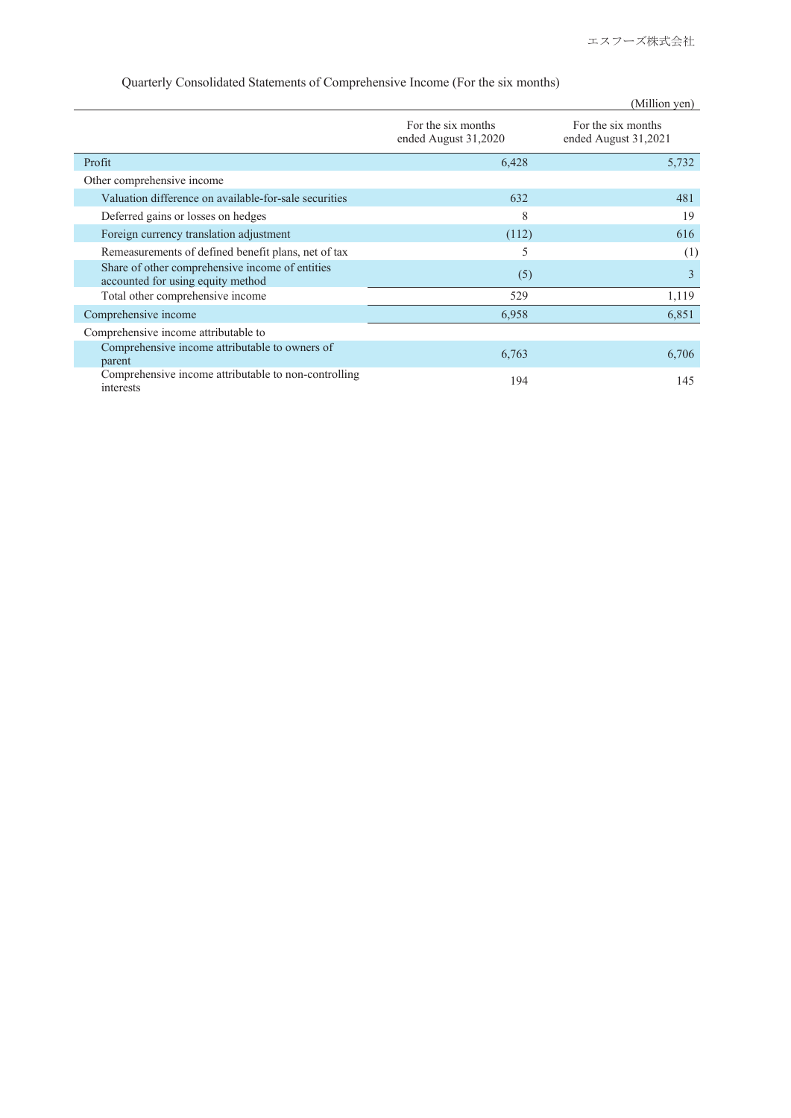|                                                                                      |                                            | (Million yen)                              |
|--------------------------------------------------------------------------------------|--------------------------------------------|--------------------------------------------|
|                                                                                      | For the six months<br>ended August 31,2020 | For the six months<br>ended August 31,2021 |
| Profit                                                                               | 6,428                                      | 5,732                                      |
| Other comprehensive income                                                           |                                            |                                            |
| Valuation difference on available-for-sale securities                                | 632                                        | 481                                        |
| Deferred gains or losses on hedges                                                   | 8                                          | 19                                         |
| Foreign currency translation adjustment                                              | (112)                                      | 616                                        |
| Remeasurements of defined benefit plans, net of tax                                  | 5                                          | (1)                                        |
| Share of other comprehensive income of entities<br>accounted for using equity method | (5)                                        | 3                                          |
| Total other comprehensive income                                                     | 529                                        | 1,119                                      |
| Comprehensive income                                                                 | 6,958                                      | 6,851                                      |
| Comprehensive income attributable to                                                 |                                            |                                            |
| Comprehensive income attributable to owners of<br>parent                             | 6,763                                      | 6,706                                      |
| Comprehensive income attributable to non-controlling<br>interests                    | 194                                        | 145                                        |

#### Quarterly Consolidated Statements of Comprehensive Income (For the six months)